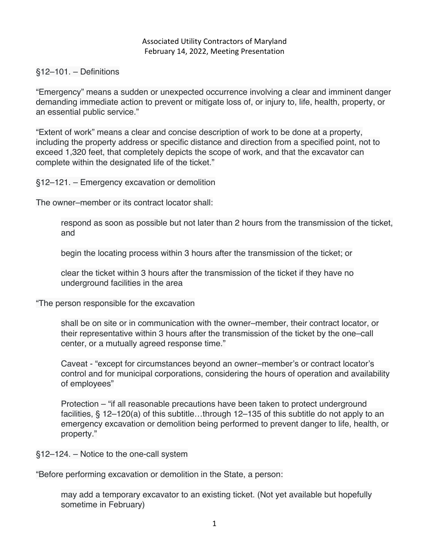## Associated Utility Contractors of Maryland February 14, 2022, Meeting Presentation

## §12–101. – Definitions

"Emergency" means a sudden or unexpected occurrence involving a clear and imminent danger demanding immediate action to prevent or mitigate loss of, or injury to, life, health, property, or an essential public service."

"Extent of work" means a clear and concise description of work to be done at a property, including the property address or specific distance and direction from a specified point, not to exceed 1,320 feet, that completely depicts the scope of work, and that the excavator can complete within the designated life of the ticket."

§12–121. – Emergency excavation or demolition

The owner–member or its contract locator shall:

respond as soon as possible but not later than 2 hours from the transmission of the ticket, and

begin the locating process within 3 hours after the transmission of the ticket; or

clear the ticket within 3 hours after the transmission of the ticket if they have no underground facilities in the area

"The person responsible for the excavation

shall be on site or in communication with the owner–member, their contract locator, or their representative within 3 hours after the transmission of the ticket by the one–call center, or a mutually agreed response time."

Caveat - "except for circumstances beyond an owner–member's or contract locator's control and for municipal corporations, considering the hours of operation and availability of employees"

Protection – "if all reasonable precautions have been taken to protect underground facilities, § 12–120(a) of this subtitle…through 12–135 of this subtitle do not apply to an emergency excavation or demolition being performed to prevent danger to life, health, or property."

§12–124. – Notice to the one-call system

"Before performing excavation or demolition in the State, a person:

may add a temporary excavator to an existing ticket. (Not yet available but hopefully sometime in February)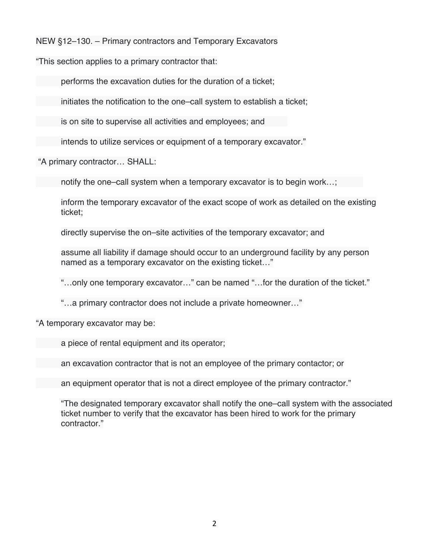NEW §12–130. – Primary contractors and Temporary Excavators

"This section applies to a primary contractor that:

performs the excavation duties for the duration of a ticket;

initiates the notification to the one–call system to establish a ticket;

is on site to supervise all activities and employees; and

intends to utilize services or equipment of a temporary excavator."

"A primary contractor… SHALL:

notify the one–call system when a temporary excavator is to begin work…;

inform the temporary excavator of the exact scope of work as detailed on the existing ticket;

directly supervise the on–site activities of the temporary excavator; and

assume all liability if damage should occur to an underground facility by any person named as a temporary excavator on the existing ticket…"

"…only one temporary excavator…" can be named "…for the duration of the ticket."

"…a primary contractor does not include a private homeowner…"

"A temporary excavator may be:

a piece of rental equipment and its operator;

an excavation contractor that is not an employee of the primary contactor; or

an equipment operator that is not a direct employee of the primary contractor."

"The designated temporary excavator shall notify the one–call system with the associated ticket number to verify that the excavator has been hired to work for the primary contractor."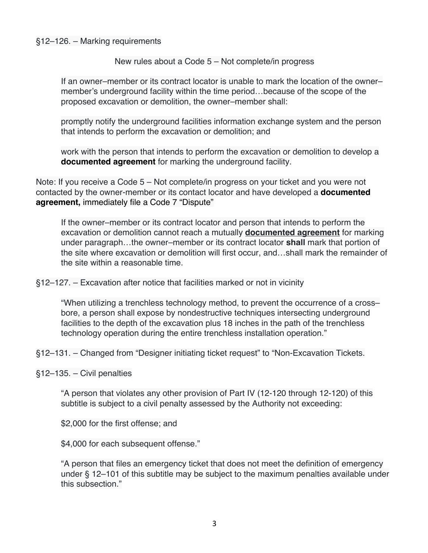## §12–126. – Marking requirements

## New rules about a Code 5 – Not complete/in progress

If an owner–member or its contract locator is unable to mark the location of the owner– member's underground facility within the time period…because of the scope of the proposed excavation or demolition, the owner–member shall:

promptly notify the underground facilities information exchange system and the person that intends to perform the excavation or demolition; and

work with the person that intends to perform the excavation or demolition to develop a **documented agreement** for marking the underground facility.

Note: If you receive a Code 5 – Not complete/in progress on your ticket and you were not contacted by the owner-member or its contact locator and have developed a **documented agreement,** immediately file a Code 7 "Dispute"

If the owner–member or its contract locator and person that intends to perform the excavation or demolition cannot reach a mutually **documented agreement** for marking under paragraph…the owner–member or its contract locator **shall** mark that portion of the site where excavation or demolition will first occur, and…shall mark the remainder of the site within a reasonable time.

§12–127. – Excavation after notice that facilities marked or not in vicinity

"When utilizing a trenchless technology method, to prevent the occurrence of a cross– bore, a person shall expose by nondestructive techniques intersecting underground facilities to the depth of the excavation plus 18 inches in the path of the trenchless technology operation during the entire trenchless installation operation."

§12–131. – Changed from "Designer initiating ticket request" to "Non-Excavation Tickets.

§12–135. – Civil penalties

"A person that violates any other provision of Part IV (12-120 through 12-120) of this subtitle is subject to a civil penalty assessed by the Authority not exceeding:

\$2,000 for the first offense; and

\$4,000 for each subsequent offense."

"A person that files an emergency ticket that does not meet the definition of emergency under § 12–101 of this subtitle may be subject to the maximum penalties available under this subsection."